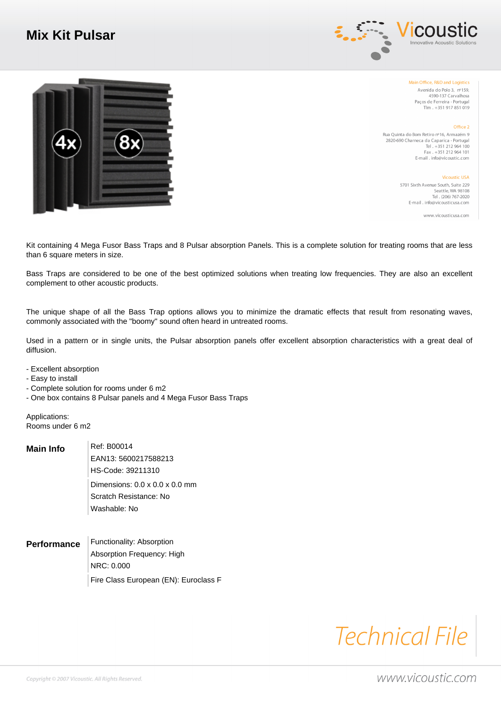## **Mix Kit Pulsar**





Main Office, R&D and Logistics Avenida do Polo 3, nº159, 4590-137 Carvalhosa Paços de Ferreira - Portugal Tlm. +351 917 851 019

Office 2

Rua Quinta do Bom Retiro nº16, Armazém 9 2820-690 Charneca da Caparica - Portugal Tel. +351 212 964 100<br>
Fax. +351 212 964 101 E-mail . info@vicoustic.com

> Vicoustic USA 5701 Sixth Avenue South, Suite 229 Seattle, WA 98108<br>Tel . (206) 767-2020 E-mail . info@vicousticusa.com

> > www.vicousticusa.com

 Kit containing 4 Mega Fusor Bass Traps and 8 Pulsar absorption Panels. This is a complete solution for treating rooms that are less than 6 square meters in size.

 Bass Traps are considered to be one of the best optimized solutions when treating low frequencies. They are also an excellent complement to other acoustic products.

 The unique shape of all the Bass Trap options allows you to minimize the dramatic effects that result from resonating waves, commonly associated with the "boomy" sound often heard in untreated rooms.

 Used in a pattern or in single units, the Pulsar absorption panels offer excellent absorption characteristics with a great deal of diffusion.

- - Excellent absorption
- - Easy to install
- - Complete solution for rooms under 6 m2
- - One box contains 8 Pulsar panels and 4 Mega Fusor Bass Traps

 Applications: Rooms under 6 m2

| Main Info | Ref: B00014                                |
|-----------|--------------------------------------------|
|           | EAN13: 5600217588213                       |
|           | HS-Code: 39211310                          |
|           | Dimensions: $0.0 \times 0.0 \times 0.0$ mm |
|           | Scratch Resistance: No                     |
|           | Washable: No                               |

**Performance** Functionality: Absorption Absorption Frequency: High NRC: 0.000 Fire Class European (EN): Euroclass F